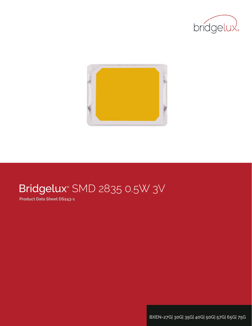



# Bridgelux® SMD 2835 0.5W 3V

**Product Data Sheet DS243-1**

**BXEN-27G| 30G| 35G| 40G| 50G| 57G| 65G| 75G**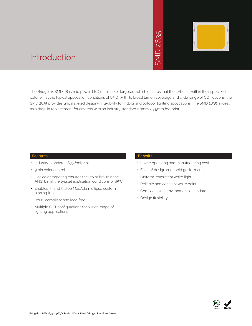# 2835  $\overline{\bigcap}$ JINS



### Introduction

The Bridgelux SMD 2835 mid power LED is hot-color targeted, which ensures that the LEDs fall within their specified color bin at the typical application conditions of 85°C. With its broad lumen coverage and wide range of CCT options, the SMD 2835 provides unparalleled design-in flexibility for indoor and outdoor lighting applications. The SMD 2835 is ideal as a drop-in replacement for emitters with an industry standard 2.8mm x 3.5mm footprint. • May 2836<br>
• May 2835<br>
• May 2835<br>
• May 2835<br>
• Design and outdoor lighting<br>
• Ease of design a<br>
• Uniform, consiste<br>
• Reliable and con<br>
• Compliant with e<br>
• Design flexibility

#### **Features**

- Industry-standard 2835 footprint
- 9 bin color control
- Hot-color targeting ensures that color is within the ANSI bin at the typical application conditions of 85°C
- Enables 3- and 5-step MacAdam ellipse custom binning kits
- RoHS compliant and lead free
- Multiple CCT configurations for a wide range of lighting applications

#### **Benefits**

- Lower operating and manufacturing cost
- Ease of design and rapid go-to-market
- Uniform, consistent white light
- Reliable and constant white point
- Compliant with environmental standards
- · Design flexibility

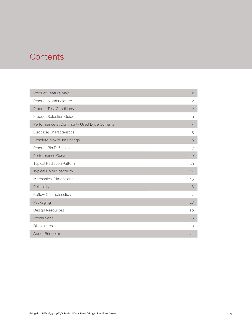### **Contents**

| Product Feature Map                         | $\overline{c}$ |
|---------------------------------------------|----------------|
| Product Nomenclature                        | $\overline{c}$ |
| <b>Product Test Conditions</b>              | $\overline{c}$ |
| <b>Product Selection Guide</b>              | 3              |
| Performance at Commonly Used Drive Currents | $\overline{4}$ |
| <b>Electrical Characteristics</b>           | 5              |
| Absolute Maximum Ratings                    | 6              |
| <b>Product Bin Definitions</b>              | 7              |
| Performance Curves                          | 10             |
| <b>Typical Radiation Pattern</b>            | 13             |
| Typical Color Spectrum                      | 14             |
| Mechanical Dimensions                       | 15             |
| Reliability                                 | 16             |
| <b>Reflow Characteristics</b>               | 17             |
| Packaging                                   | 18             |
| Design Resources                            | 20             |
| Precautions                                 | 20             |
| <b>Disclaimers</b>                          | 20             |
| About Bridgelux                             | 21             |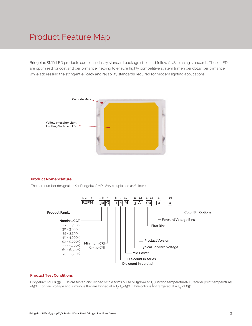### Product Feature Map

Bridgelux SMD LED products come in industry standard package sizes and follow ANSI binning standards. These LEDs are optimized for cost and performance, helping to ensure highly competitive system lumen per dollar performance while addressing the stringent efficacy and reliability standards required for modern lighting applications.





#### **Product Test Conditions**

Bridgelux SMD 2835 LEDs are tested and binned with a 10ms pulse of 150mA at T<sub>i</sub> (junction temperature)=T<sub>s</sub>, (solder point temperature) =25°C. Forward voltage and luminous flux are binned at a  $T_{\rm j}$ -T $_{\rm sp}$ 25°C.while color is hot targeted at a T $_{\rm sp}$  of 85°C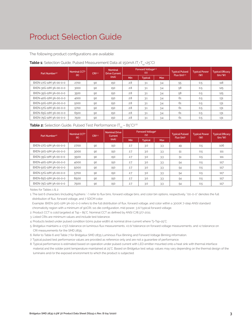### Product Selection Guide

The following product configurations are available:

| Part Number <sup>1,6</sup> | Nominal CCT <sup>2</sup> | CRI <sup>3.5</sup> | <b>Nominal</b><br><b>Drive Current</b> |     | <b>Forward Voltage4.5</b><br>(V) |            | <b>Typical Pulsed</b><br>Flux $(lm)^{4.5}$ | <b>Typical Power</b> | <b>Typical Efficacy</b><br>(lm/W) |
|----------------------------|--------------------------|--------------------|----------------------------------------|-----|----------------------------------|------------|--------------------------------------------|----------------------|-----------------------------------|
|                            | (K)                      |                    | (mA)                                   | Min | <b>Typical</b>                   | <b>Max</b> |                                            | (W)                  |                                   |
| BXEN-27G-11M-3A-00-0-0     | 2700                     | 90                 | 150                                    | 2.8 | 3.1                              | 3.4        | 55                                         | 0.5                  | 118                               |
| BXEN-30G-11M-3A-00-0-0     | 3000                     | 90                 | 150                                    | 2.8 | 3.1                              | 3.4        | 58                                         | 0.5                  | 125                               |
| BXEN-35G-11M-3A-00-0-0     | 3500                     | 90                 | 150                                    | 2.8 | 3.1                              | 3.4        | 58                                         | 0.5                  | 125                               |
| BXEN-40G-11M-3A-00-0-0     | 4000                     | 90                 | 150                                    | 2.8 | 3.1                              | 3.4        | 61                                         | 0.5                  | 131                               |
| BXEN-50G-11M-3A-00-0-0     | 5000                     | 90                 | 150                                    | 2.8 | 3.1                              | 3.4        | 61                                         | 0.5                  | 131                               |
| BXEN-57G-11M-3A-00-0-0     | 5700                     | 90                 | 150                                    | 2.8 | 3.1                              | 3.4        | 61                                         | 0.5                  | 131                               |
| BXEN-65G-11M-3A-00-0-0     | 6500                     | 90                 | 150                                    | 2.8 | 3.1                              | 3.4        | 61                                         | 0.5                  | 131                               |
| BXEN-75G-11M-3A-00-0-0     | 7500                     | 90                 | 150                                    | 2.8 | 3.1                              | 3.4        | 61                                         | 0.5                  | 131                               |

#### **Table 1:** Selection Guide, Pulsed Measurement Data at 150mA (T<sub>j</sub>=T<sub>sp</sub>=25°C)

| Part Number <sup>1,6</sup> | Nominal CCT <sup>2</sup> | CRI3.5 | <b>Nominal Drive</b><br>Current |            | Forward Voltage <sup>5</sup><br>(V) |            | <b>Typical Pulsed</b>  | <b>Typical Power</b> | <b>Typical Efficacy</b>              |
|----------------------------|--------------------------|--------|---------------------------------|------------|-------------------------------------|------------|------------------------|----------------------|--------------------------------------|
|                            | (K)                      |        | (mA)                            | <b>Min</b> | <b>Typical</b>                      | <b>Max</b> | Flux (lm) <sup>5</sup> | (W)                  | $\langle \text{Im}/\text{W} \rangle$ |
| BXEN-27G-11M-3A-00-0-0     | 2700                     | 90     | 150                             | 2.7        | 3.0                                 | 3.3        | 49                     | 0.5                  | 106                                  |
| BXEN-30G-11M-3A-00-0-0     | 3000                     | 90     | 150                             | 2.7        | 3.0                                 | 3.3        | 51                     | 0.5                  | 111                                  |
| BXEN-35G-11M-3A-00-0-0     | 3500                     | 90     | 150                             | 2.7        | 3.0                                 | 3.3        | 51                     | 0.5                  | 111                                  |
| BXEN-40G-11M-3A-00-0-0     | 4000                     | 90     | 150                             | 2.7        | 3.0                                 | 3.3        | 54                     | 0.5                  | 117                                  |
| BXEN-50G-11M-3A-00-0-0     | 5000                     | 90     | 150                             | 2.7        | 3.0                                 | 3.3        | 54                     | 0.5                  | 117                                  |
| BXEN-57G-11M-3A-00-0-0     | 5700                     | 90     | 150                             | 2.7        | 3.0                                 | 3.3        | 54                     | 0.5                  | 117                                  |
| BXEN-65G-11M-3A-00-0-0     | 6500                     | 90     | 150                             | 2.7        | 3.0                                 | 3.3        | 54                     | 0.5                  | 117                                  |
| BXEN-75G-11M-3A-00-0-0     | 7500                     | 90     | 150                             | 2.7        | 3.0                                 | 3.3        | 54                     | 0.5                  | 117                                  |

Notes for Tables 1 & 2:

1. The last 6 characters (including hyphens '-') refer to flux bins, forward voltage bins, and color bin options, respectively. "00-0-0" denotes the full distribution of flux, forward voltage, and 7 SDCM color.

Example: BXEN-30G-11M-3A-00-0-0 refers to the full distribution of flux, forward voltage, and color within a 3000K 7-step ANSI standard

chromaticity region with a minimum of 90CRI, 1x1 die configuration, mid power, 3.1V typical forward voltage.

2. Product CCT is cold targeted at Tsp = 85°C. Nominal CCT as defined by ANSI C78.377-2011.

3. Listed CRIs are minimum values and include test tolerance.

4. Products tested under pulsed condition (10ms pulse width) at nominal drive current where Tj=Tsp=25°C.

5. Bridgelux maintains a ±7.5% tolerance on luminous flux measurements, ±0.1V tolerance on forward voltage measurements, and ±2 tolerance on CRI measurements for the SMD 2835.

6. Refer to Table 6 and Table 7 for Bridgelux SMD 2835 Luminous Flux Binning and Forward Voltage Binning information.

7. Typical pulsed test performance values are provided as reference only and are not a guarantee of performance.

8. Typical performance is estimated based on operation under pulsed current with LED emitter mounted onto a heat sink with thermal interface material and the solder point temperature maintained at 25°C. Based on Bridgelux test setup, values may vary depending on the thermal design of the luminaire and/or the exposed environment to which the product is subjected.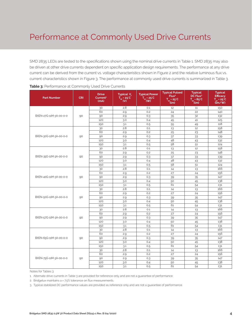### Performance at Commonly Used Drive Currents

SMD 2835 LEDs are tested to the specifications shown using the nominal drive currents in Table 1. SMD 2835 may also be driven at other drive currents dependent on specific application design requirements. The performance at any drive current can be derived from the current vs. voltage characteristics shown in Figure 2 and the relative luminous flux vs. current characteristics shown in Figure 3. The performance at commonly used drive currents is summarized in Table 3.

| <b>Part Number</b>     | <b>CRI</b> | <b>Drive</b><br>Current <sup>1</sup><br>(mA) | Typical V.<br>$T_{\rm sp}$ = 25°C<br>(V) | <b>Typical Power</b><br>$T_{\rm SD} = 25^{\circ}C$<br>(W) | <b>Typical Pulsed</b><br>Flux <sup>2</sup><br>$T_{sp} = 25^{\circ}C$<br>(lm) | <b>Typical</b><br>DC Flux <sup>3</sup><br>$T_{sp} = 85^{\circ}C$<br>$\frac{m}{2}$ | <b>Typical</b><br><b>Efficacy</b><br>$T_{\rm sn}$ = 25°C<br>$\lim$ /w |
|------------------------|------------|----------------------------------------------|------------------------------------------|-----------------------------------------------------------|------------------------------------------------------------------------------|-----------------------------------------------------------------------------------|-----------------------------------------------------------------------|
|                        |            | 30                                           | 2.8                                      | 0.1                                                       | 12                                                                           | 11                                                                                | 150                                                                   |
|                        |            | 60                                           | 2.9                                      | 0.2                                                       | 24                                                                           | 22                                                                                | 140                                                                   |
| BXEN-27G-11M-3A-00-0-0 | 90         | 90                                           | 2.9                                      | 0.3                                                       | 35                                                                           | 32                                                                                | 132                                                                   |
|                        |            | 120                                          | 3.0                                      | 0.4                                                       | 45                                                                           | 41                                                                                | 125                                                                   |
|                        |            | 150                                          | 3.1                                      | 0.5                                                       | 55                                                                           | 49                                                                                | 118                                                                   |
|                        |            | 30                                           | 2.8                                      | 0.1                                                       | 13                                                                           | 12                                                                                | 158                                                                   |
|                        |            | 60                                           | 2.9                                      | 0.2                                                       | 25                                                                           | 23                                                                                | 148                                                                   |
| BXEN-30G-11M-3A-00-0-0 | 90         | 90                                           | 2.9                                      | 0.3                                                       | 37                                                                           | 33                                                                                | 139                                                                   |
|                        |            | 120                                          | 3.0                                      | 0.4                                                       | 48                                                                           | 43                                                                                | 132                                                                   |
|                        |            | 150                                          | 3.1                                      | 0.5                                                       | 58                                                                           | 51                                                                                | 124                                                                   |
|                        |            | 30                                           | 2.8                                      | 0.1                                                       | 13                                                                           | 12                                                                                | 158                                                                   |
|                        |            | 60                                           | 2.9                                      | 0.2                                                       | 25                                                                           | 23                                                                                | 148                                                                   |
| BXEN-35G-11M-3A-00-0-0 | 90         | 90                                           | 2.9                                      | 0.3                                                       | 37                                                                           | 33                                                                                | 139                                                                   |
|                        |            | 120                                          | 3.0                                      | 0.4                                                       | 48                                                                           | 43                                                                                | 132                                                                   |
|                        |            | 150                                          | 3.1                                      | 0.5                                                       | 58                                                                           | 51                                                                                | 124                                                                   |
|                        |            | 30                                           | 2.8                                      | O.1                                                       | 14                                                                           | 13                                                                                | 166                                                                   |
|                        |            | 60                                           | 2.9                                      | 0.2                                                       | 27                                                                           | 24                                                                                | 156                                                                   |
| BXEN-40G-11M-3A-00-0-0 | 90         | 90                                           | 2.9                                      | 0.3                                                       | 39                                                                           | 35                                                                                | 147                                                                   |
|                        |            | 120                                          | 3.0                                      | 0.4                                                       | 50                                                                           | 45                                                                                | 138                                                                   |
|                        |            | 150                                          | 3.1                                      | 0.5                                                       | 61                                                                           | 54                                                                                | 131                                                                   |
|                        |            | 30                                           | 2.8                                      | O.1                                                       | 14                                                                           | 13                                                                                | 166                                                                   |
|                        |            | 60                                           | 2.9                                      | 0.2                                                       | 27                                                                           | 24                                                                                | 156                                                                   |
| BXEN-50G-11M-3A-00-0-0 | 90         | 90                                           | 2.9                                      | 0.3                                                       | 39                                                                           | 35                                                                                | 147                                                                   |
|                        |            | 120                                          | 3.0                                      | 0.4                                                       | 50                                                                           | 45                                                                                | 138                                                                   |
|                        |            | 150                                          | 3.1                                      | 0.5                                                       | 61                                                                           | 54                                                                                | 131                                                                   |
|                        |            | 30                                           | 2.8                                      | 0.1                                                       | 14                                                                           | 13                                                                                | 166                                                                   |
|                        |            | 60                                           | 2.9                                      | 0.2                                                       | 27                                                                           | 24                                                                                | 156                                                                   |
| BXEN-57G-11M-3A-00-0-0 | 90         | 90                                           | 2.9                                      | 0.3                                                       | 39                                                                           | 35                                                                                | 147                                                                   |
|                        |            | 120                                          | 3.0                                      | 0.4                                                       | 50                                                                           | 45                                                                                | 138                                                                   |
|                        |            | 150                                          | 3.1                                      | 0.5                                                       | 61                                                                           | 54                                                                                | 131                                                                   |
|                        |            | 30                                           | 2.8                                      | 0.1                                                       | 14                                                                           | 13                                                                                | 166                                                                   |
|                        |            | 60                                           | 2.9                                      | 0.2                                                       | 27                                                                           | 24                                                                                | 156                                                                   |
| BXEN-65G-11M-3A-00-0-0 | 90         | 90                                           | 2.9                                      | 0.3                                                       | 39                                                                           | 35                                                                                | 147                                                                   |
|                        |            | 120                                          | 3.0                                      | 0.4                                                       | 50                                                                           | 45                                                                                | 138                                                                   |
|                        |            | 150                                          | 3.1                                      | 0.5                                                       | 61                                                                           | 54                                                                                | 131                                                                   |
|                        |            | 30                                           | 2.8                                      | O.1                                                       | 14                                                                           | 13                                                                                | 166                                                                   |
|                        |            | 60                                           | 2.9                                      | 0.2                                                       | 27                                                                           | 24                                                                                | 156                                                                   |
| BXEN-75G-11M-3A-00-0-0 | 90         | 90                                           | 2.9                                      | 0.3                                                       | 39                                                                           | 35                                                                                | 147                                                                   |
|                        |            | 120                                          | 3.0                                      | 0.4                                                       | 50                                                                           | 45                                                                                | 138                                                                   |
|                        |            | 150                                          | 3.1                                      | 0.5                                                       | 61                                                                           | 54                                                                                | 131                                                                   |

Notes for Tables 3:

1. Alternate drive currents in Table 3 are provided for reference only and are not a guarantee of performance.

2. Bridgelux maintains a  $\pm$  7.5% tolerance on flux measurements.

3. Typical stabilized DC performance values are provided as reference only and are not a guarantee of performance.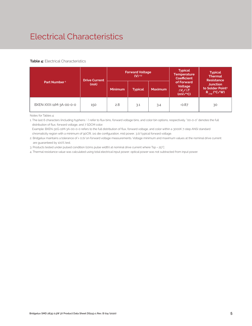## Electrical Characteristics

#### **Table 4:** Electrical Characteristics

|                          | <b>Drive Current</b> |                | <b>Forward Voltage</b><br>$(V)$ <sup>2,3</sup> |                | <b>Typical</b><br><b>Temperature</b><br><b>Coefficient</b>  | <b>Typical</b><br><b>Thermal</b><br><b>Resistance</b>                |
|--------------------------|----------------------|----------------|------------------------------------------------|----------------|-------------------------------------------------------------|----------------------------------------------------------------------|
| Part Number <sup>1</sup> | (mA)                 | <b>Minimum</b> | <b>Typical</b>                                 | <b>Maximum</b> | of Forward<br>Voltage<br>$\Delta V \sim \Delta T$<br>(mV/C) | <b>Junction</b><br>to Solder Point <sup>4</sup><br>$R_{j-sp}$ (°C/W) |
| BXEN-XXX-11M-3A-00-0-0   | 150                  | 2.8            | 3.1                                            | 3.4            | $-0.87$                                                     | 30                                                                   |

Notes for Tables 4:

1. The last 6 characters (including hyphens '-') refer to flux bins, forward voltage bins, and color bin options, respectively. "00-0-0" denotes the full distribution of flux, forward voltage, and 7 SDCM color.

 Example: BXEN-30G-11M-3A-00-0-0 refers to the full distribution of flux, forward voltage, and color within a 3000K 7-step ANSI standard chromaticity region with a minimum of 90CRI, 1x1 die configuration, mid power, 3.1V typical forward voltage.

2. Bridgelux maintains a tolerance of ± 0.1V on forward voltage measurements. Voltage minimum and maximum values at the nominal drive current are guaranteed by 100% test.

3. Products tested under pulsed condition (10ms pulse width) at nominal drive current where Tsp = 25°C.

4. Thermal resistance value was calculated using total electrical input power; optical power was not subtracted from input power.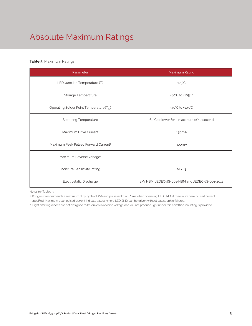# Absolute Maximum Ratings

#### **Table 5:** Maximum Ratings

| Parameter                                             | Maximum Rating                                  |  |  |  |  |
|-------------------------------------------------------|-------------------------------------------------|--|--|--|--|
| LED Junction Temperature (T <sub>i</sub> )            | $125^{\circ}$ C                                 |  |  |  |  |
| Storage Temperature                                   | $-40^{\circ}$ C to $+105^{\circ}$ C             |  |  |  |  |
| Operating Solder Point Temperature (T <sub>Sp</sub> ) | $-40^{\circ}$ C to $+105^{\circ}$ C             |  |  |  |  |
| <b>Soldering Temperature</b>                          | 260°C or lower for a maximum of 10 seconds      |  |  |  |  |
| Maximum Drive Current                                 | 150 <sub>m</sub> A                              |  |  |  |  |
| Maximum Peak Pulsed Forward Current <sup>1</sup>      | 300 <sub>m</sub> A                              |  |  |  |  |
| Maximum Reverse Voltage <sup>2</sup>                  |                                                 |  |  |  |  |
| Moisture Sensitivity Rating                           | MSL <sub>3</sub>                                |  |  |  |  |
| Electrostatic Discharge                               | 2kV HBM, JEDEC-JS-001-HBM and JEDEC-JS-001-2012 |  |  |  |  |

Notes for Tables 5:

1. Bridgelux recommends a maximum duty cycle of 10% and pulse width of 10 ms when operating LED SMD at maximum peak pulsed current specified. Maximum peak pulsed current indicate values where LED SMD can be driven without catastrophic failures.

2. Light emitting diodes are not designed to be driven in reverse voltage and will not produce light under this condition. no rating is provided.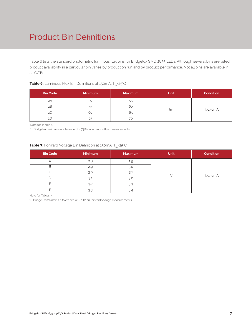### Product Bin Definitions

Table 6 lists the standard photometric luminous flux bins for Bridgelux SMD 2835 LEDs. Although several bins are listed, product availability in a particular bin varies by production run and by product performance. Not all bins are available in all CCTs.

| <b>Bin Code</b> | <b>Minimum</b> | <b>Maximum</b> | <b>Unit</b> | <b>Condition</b> |
|-----------------|----------------|----------------|-------------|------------------|
| 2A              | 50             | 55             |             |                  |
| 2B              | 55             | 60             |             | $I_{E}$ =150mA   |
| 2C              | 60             | 65             | lm          |                  |
| 2D              | 65             | 70             |             |                  |

#### **Table 6:** Luminous Flux Bin Definitions at 150mA, T<sub>sp</sub>=25°C

Note for Tables 6:

1. Bridgelux maintains a tolerance of ± 7.5% on luminous flux measurements.

#### **Table 7:** Forward Voltage Bin Definition at 150mA, T<sub>sp</sub>=25°C

| <b>Bin Code</b> | Minimum | <b>Maximum</b> | Unit | <b>Condition</b> |
|-----------------|---------|----------------|------|------------------|
| $\overline{ }$  | 2.8     | 2.9            |      |                  |
| R               | 2.9     | 3.0            |      |                  |
|                 | 3.0     | 3.1            |      |                  |
|                 | 3.1     | 3.2            |      | $I_F = 150mA$    |
|                 | 3.2     | 3.3            |      |                  |
|                 | 3.3     | 3.4            |      |                  |

Note for Tables 7:

1. Bridgelux maintains a tolerance of ± 0.1V on forward voltage measurements.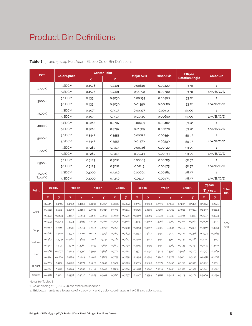### Product Bin Definitions

| <b>CCT</b>          |          |              |                    |        |                             | <b>Center Point</b> |              |              |                   |              |                   |         |             | <b>Ellipse</b>        |             |                  |                     |
|---------------------|----------|--------------|--------------------|--------|-----------------------------|---------------------|--------------|--------------|-------------------|--------------|-------------------|---------|-------------|-----------------------|-------------|------------------|---------------------|
|                     |          |              | <b>Color Space</b> |        | X                           |                     | Y            |              | <b>Major Axis</b> |              | <b>Minor Axis</b> |         |             | <b>Rotation Angle</b> |             | <b>Color Bin</b> |                     |
|                     |          |              | 3 SDCM             |        | 0.4578                      |                     | 0.4101       |              | 0.00810           |              | 0.00420           |         |             | 53.70                 |             | $\mathbf{1}$     |                     |
| 2700K               |          |              | 5 SDCM             |        | 0.4578                      |                     | 0.4101       |              | 0.01350           |              | 0.00700           |         | 53.70       |                       |             | 1/A/B/C/D        |                     |
|                     |          |              | 3 SDCM             |        | 0.4338                      |                     | 0.4030       |              | 0.00834           |              | 0.00408           |         |             | 53.22                 |             | 1                |                     |
| 3000K               |          |              | 5 SDCM             |        | 0.4338                      |                     | 0.4030       |              | 0.01390           |              | 0.00680           |         |             | 53.22                 |             | 1/A/B/C/D        |                     |
|                     |          |              | 3 SDCM             |        | 0.4073                      |                     | 0.3917       |              | 0.00927           |              | 0.00414           |         |             | 54.00                 |             | $\mathbf{1}$     |                     |
| 3500K               |          |              | 5 SDCM             |        | 0.4073                      |                     | 0.3917       |              | 0.01545           |              | 0.00690           |         |             | 54.00                 |             | 1/A/B/C/D        |                     |
|                     |          |              | 3 SDCM             |        | 0.3818                      |                     | 0.3797       |              | 0.00939           |              | 0.00402           |         |             | 53.72                 |             | $\mathbf{1}$     |                     |
| 4000K               |          |              | 5 SDCM             |        | 0.3818                      |                     | 0.3797       |              | 0.01565           |              | 0.00670           |         |             | 53.72                 |             | 1/A/B/C/D        |                     |
|                     |          |              | 3 SDCM             |        | 0.3447                      |                     | 0.3553       |              | 0.00822           |              | 0.00354           |         |             | 59.62                 |             | $\mathbf{1}$     |                     |
| 5000K               |          |              | 5 SDCM             |        | 0.3447                      |                     | 0.3553       |              | 0.01370           |              | 0.00590           |         |             | 59.62                 |             | 1/A/B/C/D        |                     |
|                     |          |              | 3 SDCM             |        | 0.3287                      |                     | 0.3417       |              | 0.00746           |              | 0.00320           |         |             | 59.09                 |             | $\mathbf{1}$     |                     |
| 5700K               |          |              | 5 SDCM             |        | 0.3287                      |                     | 0.3417       |              | 0.01243           |              | 0.00533           |         |             | 59.09                 |             | 1/A/B/C/D        |                     |
|                     | 3 SDCM   |              |                    | 0.3123 |                             | 0.3282              |              | 0.00669      |                   | 0.00285      |                   | 58.57   |             |                       | 1           |                  |                     |
| 6500K               |          |              | 5 SDCM             |        | 0.3282<br>0.3123<br>0.01115 |                     |              |              | 0.00475           |              | 58.57             |         |             | 1/A/B/C/D             |             |                  |                     |
| 7500K               |          |              | 3 SDCM             |        | 0.3000                      |                     | 0.3250       |              | 0.00669           |              |                   | 0.00285 |             | 58.57                 |             | $\mathbf{1}$     |                     |
| $T_{\rm{sp}}$ =25°C |          |              | 5 SDCM             |        | 0.3000                      |                     | 0.3250       |              | 0.01115           |              | 0.00475           |         |             | 58.57                 |             | 1/A/B/C/D        |                     |
|                     |          | 3000K        |                    |        |                             |                     |              |              |                   |              |                   |         |             |                       |             | <b>7500K</b>     |                     |
| Point               |          | <b>2700K</b> |                    |        | 3500K                       |                     | 4000K        |              | 5000K             |              | 5700K             |         | 6500K       |                       |             | $T_{sp}$ =25°C   | Color<br><b>Bin</b> |
|                     | <b>X</b> | y            | $\mathbf{x}$       | У      | $\mathbf{x}$                | У                   | $\mathbf{x}$ | $\mathbf{y}$ | $\mathbf{x}$      | $\mathbf{y}$ | $\mathbf{x}$      | y       | $\mathbf x$ | $\mathbf{y}$          | $\mathbf x$ | $\mathbf{v}$     |                     |
|                     | 0.4813   | 0.4319       | 0.4562             | 0.4260 | 0.4299                      | 0.4165              | 0.4006       | 0.4044       | 0.3551            | 0.3760       | 0.3376            | 0.3616  | 0.3205      | 0.3481                | 0.3074      | 0.3441           |                     |
| ANSI                | 0.4562   | 0.426        | 0.4299             | 0.4165 | 0.3996                      | 0.4015              | 0.3736       | 0.3874       | 0.3376            | 0.3616       | 0.3207            | 0.3462  | 0.3028      | 0.3304                | 0.2897      | 0.3264           |                     |
|                     | 0.4373   | 0.3893       | 0.4147             | 0.3814 | 0.3889                      | 0.3690              | 0.3670       | 0.3578       | 0.3366            | 0.3369       | 0.3222            | 0.3243  | 0.3068      | 0.3113                | 0.2937      | 0.3073           |                     |
|                     | 0.4593   | 0.3944       | 0.4373             | 0.3893 | 0.4147                      | 0.3814              | 0.3898       | 0.3716       | 0.3515            | 0.3487       | 0.3366            | 0.3369  | 0.3221      | 0.3261                | 0.3090      | 0.3221           | E/F/                |
| V-up                | 0.4687   | 0.4289       | 0.4431             | 0.4213 | 0.4148                      | 0.4090              | 0.3871       | 0.3959       | 0.3463            | 0.3687       | 0.3290            | 0.3538  | 0.3115      | 0.3391                | 0.2986      | 0.3353           | G/H                 |
|                     | 0.4618   | 0.4170       | 0.4377             | 0.4101 | 0.4112                      | 0.3996              | 0.3847       | 0.3873       | 0.3457            | 0.3617       | 0.3290            | 0.3470  | 0.3124      | 0.3328                | 0.2994      | 0.3289           |                     |
| V-down              | 0.4483   | 0.3919       | 0.4260             | 0.3854 | 0.4018                      | 0.3752              | 0.3784       | 0.3647       | 0.3440            | 0.3427       | 0.3290            | 0.3300  | 0.3144      | 0.3186                | 0.3014      | 0.3147           |                     |
|                     | 0.4542   | 0.4031       | 0.4310             | 0.3960 | 0.4053                      | 0.3844              | 0.3807       | 0.3730       | 0.3445            | 0.3495       | 0.3290            | 0.3369  | 0.3135      | 0.3250                | 0.3005      | 0.3210           |                     |
| H-left              | 0.4468   | 0.4077       | 0.4223             | 0.3990 | 0.3941                      | 0.3848              | 0.3702       | 0.3722       | 0.3371            | 0.3490       | 0.3215            | 0.3350  | 0.3048      | 0.3207                | 0.2917      | 0.3169           |                     |
|                     | 0.4524   | 0.4089       | 0.4283             | 0.4013 | 0.4012                      | 0.3885              | 0.3755       | 0.3755       | 0.3395            | 0.3509       | 0.3240            | 0.3372  | 0.3081      | 0.3240                | 0.2958      | 0.3208           |                     |
| H-right             | 0.4703   | 0.4132       | 0.4468             | 0.4077 | 0.4223                      | 0.3990              | 0.3950       | 0.3875       | 0.3533            | 0.3620       | 0.3371            | 0.3490  | 0.3213      | 0.3373                | 0.3082      | 0.3331           |                     |
|                     | 0.4632   | 0.4115       | 0.4394             | 0.4052 | 0.4133                      | 0.3945              | 0.3880       | 0.3834       | 0.3498            | 0.3592       | 0.3334            | 0.3456  | 0.3165      | 0.3325                | 0.3042      | 0.3292           |                     |
| Center              | 0.4578   | 0.4101       | 0.4338             | 0.4030 | 0.4073                      | 0.3917              | 0.3818       | 0.3797       | 0.3447            | 0.3553       | 0.3287            | 0.3417  | 0.3123      | 0.3282                | 0.3000      | 0.3250           |                     |

**Table 8:** 3- and 5-step MacAdam Ellipse Color Bin Definitions

Notes for Tables 8:

1. Color binning at  $T_{sp}$ =85°C unless otherwise specified

2. Bridgelux maintains a tolerance of ± 0.007 on x and y color coordinates in the CIE 1931 color space.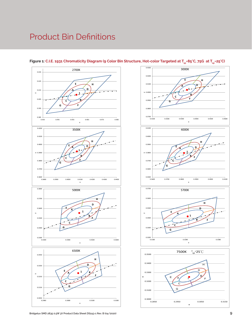## Product Bin Definitions







**Bridgelux SMD 2835 0.5W 3V Product Data Sheet DS243-1 Rev. B (04/2020)**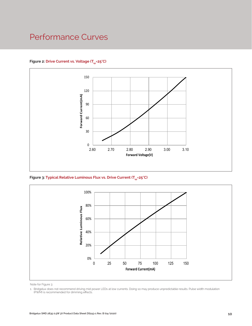### Performance Curves

#### Figure 2: Drive Current vs. Voltage (T<sub>SD</sub>=25°C)



Figure 3: Typical Relative Luminous Flux vs. Drive Current (T<sub>sp</sub>=25°C)



Note for Figure 3:

<sup>1.</sup> Bridgelux does not recommend driving mid power LEDs at low currents. Doing so may produce unpredictable results. Pulse width modulation (PWM) is recommended for dimming effects.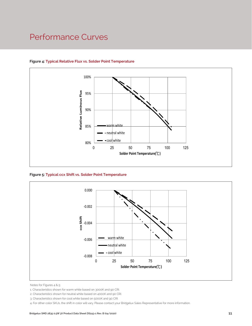### Performance Curves



#### **Figure 4: Typical Relative Flux vs. Solder Point Temperature**

**Figure 5: Typical ccx Shift vs. Solder Point Temperature**



Notes for Figures 4 & 5:

4. For other color SKUs, the shift in color will vary. Please contact your Bridgelux Sales Representative for more information.

<sup>1.</sup> Characteristics shown for warm white based on 3000K and 90 CRI.

<sup>2.</sup> Characteristics shown for neutral white based on 4000K and 90 CRI.

<sup>3.</sup> Characteristics shown for cool white based on 5000K and 90 CRI.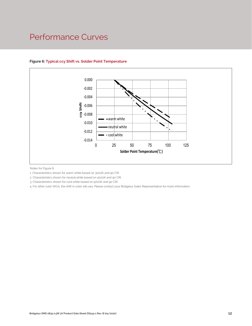### Performance Curves



#### **Figure 6: Typical ccy Shift vs. Solder Point Temperature**

Notes for Figure 6:

1. Characteristics shown for warm white based on 3000K and 90 CRI.

2. Characteristics shown for neutral white based on 4000K and 90 CRI.

3. Characteristics shown for cool white based on 5000K and 90 CRI.

4. For other color SKUs, the shift in color will vary. Please contact your Bridgelux Sales Representative for more information.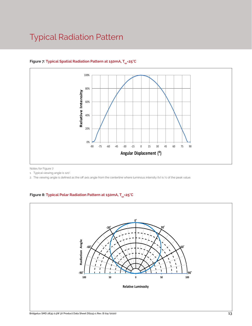### Typical Radiation Pattern



#### Figure 7: Typical Spatial Radiation Pattern at 150mA, T<sub>sp</sub>=25°C

Notes for Figure 7:

1. Typical viewing angle is 120°.

2. The viewing angle is defined as the off axis angle from the centerline where luminous intensity (Iv) is ½ of the peak value.

#### Figure 8: Typical Polar Radiation Pattern at 150mA, T<sub>sp</sub>=25°C

.

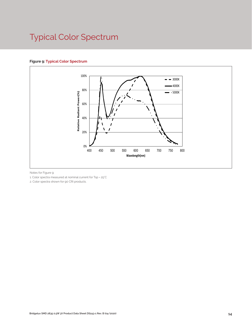# Typical Color Spectrum

#### **Figure 9: Typical Color Spectrum**



Notes for Figure 9:

1. Color spectra measured at nominal current for Tsp = 25°C

2. Color spectra shown for 90 CRI products.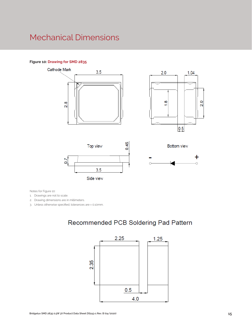### Mechanical Dimensions

#### **Figure 10: Drawing for SMD 2835**









**Bottom view** 

Notes for Figure 10:

1. Drawings are not to scale.

2. Drawing dimensions are in millimeters.

3. Unless otherwise specified, tolerances are ± 0.10mm.

### Recommended PCB Soldering Pad Pattern

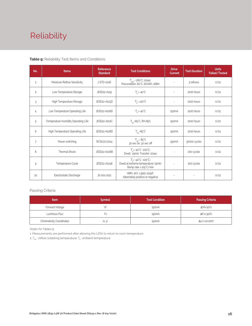# Reliability

#### **Table 9:** Reliability Test Items and Conditions

| No.            | <b>Items</b>                        | <b>Reference</b><br><b>Standard</b>             | <b>Test Conditions</b>                                                                                 | <b>Drive</b><br><b>Current</b> | <b>Test Duration</b> | <b>Units</b><br>Failed/Tested |
|----------------|-------------------------------------|-------------------------------------------------|--------------------------------------------------------------------------------------------------------|--------------------------------|----------------------|-------------------------------|
| 1              | Moisture/Reflow Sensitivity         | J-STD-020E                                      | $T_{\text{cld}}$ = 260°C, 10sec,<br>Precondition: 60°C, 60%RH, 168hr                                   | $\sim$                         | 3 reflows            | 0/22                          |
| $\overline{c}$ | Low Temperature Storage             | JESD22-A119                                     | $T_a = -40^{\circ}C$                                                                                   | $\bar{a}$                      | 1000 hours           | 0/22                          |
| 3              | High Temperature Storage            | $T_a = 100^{\circ}$ C<br>JESD22-A103D           |                                                                                                        | $\sim$                         | 1000 hours           | 0/22                          |
| 4              | Low Temperature Operating Life      | JESD22-A108D<br>$T_s = -40^{\circ}C$            |                                                                                                        | 150 <sub>m</sub> A             | 1000 hours           | 0/22                          |
| 5              | Temperature Humidity Operating Life | JESD22-A101C<br>$T_{SD} = 85^{\circ}$ C, RH=85% |                                                                                                        | 150 <sub>m</sub> A             | 1000 hours           | 0/22                          |
| 6              | High Temperature Operating Life     | JESD22-A108D                                    | $T_{\rm sn} = 85^{\circ}C$                                                                             | 150 <sub>m</sub> A             | 1000 hours           | 0/22                          |
| $\overline{7}$ | Power switching                     | IEC62717:2014                                   | $T_{\rm SD} = 85^{\circ}C$<br>30 sec on, 30 sec off                                                    | 150 <sub>m</sub> A             | 30000 cycles         | 0/22                          |
| 8              | <b>Thermal Shock</b>                | JESD22-A106B                                    | $T_a = -40^{\circ}C - 100^{\circ}C$ ;<br>Dwell: 15min; Transfer: 10sec                                 | $\sim$                         | 200 cycles           | 0/22                          |
| 9              | Temperature Cycle                   | JESD22-A104E                                    | $T_a = -40^{\circ}C - 100^{\circ}C$ ;<br>Dwell at extreme temperature: 15min;<br>Ramp rate < 105°C/min |                                | 200 cycles           | 0/22                          |
| 10             | Electrostatic Discharge             | JS-001-2012                                     | HBM, $2KV$ , $1.5k\Omega$ , 100pF,<br>Alternately positive or negative                                 | $\overline{\phantom{a}}$       |                      | 0/22                          |

#### Passing Criteria

| <b>Item</b>                     | <b>Symbol</b> | <b>Test Condition</b> | <b>Passing Criteria</b> |
|---------------------------------|---------------|-----------------------|-------------------------|
| Forward Voltage                 |               | 150 <sub>m</sub> A    | ΔVf<10%                 |
| Luminous Flux                   | ۲v            | 150 <sub>m</sub> A    | ΔFν<30%                 |
| <b>Chromaticity Coordinates</b> | (x, y)        | 150 <sub>m</sub> A    | Δu'v'<0.007             |

Notes for Tables 9:

1. Measurements are performed after allowing the LEDs to return to room temperature

2.  $T_{\scriptscriptstyle \rm std}$  : reflow soldering temperature;  $T_{\scriptscriptstyle \rm a}$  : ambient temperature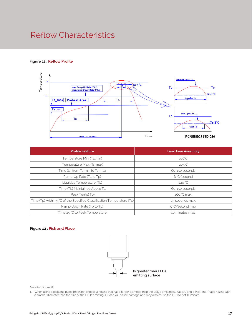### Reflow Characteristics

#### **Figure 11 : Reflow Profile**



| <b>Profile Feature</b>                                                 | <b>Lead Free Assembly</b> |  |
|------------------------------------------------------------------------|---------------------------|--|
| Temperature Min. (Ts_min)                                              | $160^{\circ}$ C           |  |
| Temperature Max. (Ts_max)                                              | $205^{\circ}$ C           |  |
| Time (ts) from Ts_min to Ts_max                                        | 60-150 seconds            |  |
| Ramp-Up Rate (TL to Tp)                                                | 3 °C/second               |  |
| Liquidus Temperature (TL)                                              | 220 °C                    |  |
| Time (TL) Maintained Above TL                                          | 60-150 seconds            |  |
| Peak Temp(Tp)                                                          | 260 °C max.               |  |
| Time (Tp) Within 5 °C of the Specified Classification Temperature (Tc) | 25 seconds max.           |  |
| Ramp-Down Rate (Tp to TL)                                              | 5 °C/second max.          |  |
| Time 25 °C to Peak Temperature                                         | 10 minutes max.           |  |

#### **Figure 12 : Pick and Place**



Note for Figure 12:

1. When using a pick and place machine, choose a nozzle that has a larger diameter than the LED's emitting surface. Using a Pick-and-Place nozzle with a smaller diameter than the size of the LEDs emitting surface will cause damage and may also cause the LED to not illuminate.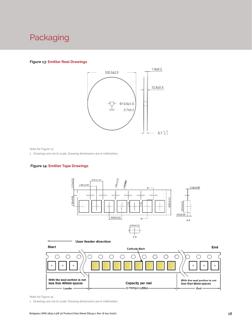### Packaging

#### **Figure 13: Emitter Reel Drawings**



Note for Figure 13:

1. Drawings are not to scale. Drawing dimensions are in millimeters.

#### **Figure 14: Emitter Tape Drawings**





Note for Figure 14:

1. Drawings are not to scale. Drawing dimensions are in millimeters.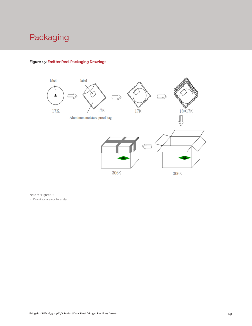# Packaging



#### **Figure 15: Emitter Reel Packaging Drawings**

Note for Figure 15: 1. Drawings are not to scale.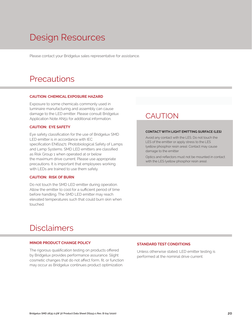# Design Resources

Please contact your Bridgelux sales representative for assistance.

### **Precautions**

#### **CAUTION: CHEMICAL EXPOSURE HAZARD**

Exposure to some chemicals commonly used in luminaire manufacturing and assembly can cause damage to the LED emitter. Please consult Bridgelux Application Note AN51 for additional information.

#### **CAUTION: EYE SAFETY**

Eye safety classification for the use of Bridgelux SMD LED emitter is in accordance with IEC specification EN62471: Photobiological Safety of Lamps and Lamp Systems. SMD LED emitters are classified as Risk Group 1 when operated at or below the maximum drive current. Please use appropriate precautions. It is important that employees working with LEDs are trained to use them safely.

#### **CAUTION: RISK OF BURN**

Do not touch the SMD LED emitter during operation. Allow the emitter to cool for a sufficient period of time before handling. The SMD LED emitter may reach elevated temperatures such that could burn skin when touched.

### **CAUTION**

#### **CONTACT WITH LIGHT EMITTING SURFACE (LES)**

Avoid any contact with the LES. Do not touch the LES of the emitter or apply stress to the LES (yellow phosphor resin area). Contact may cause damage to the emitter

Optics and reflectors must not be mounted in contact with the LES (yellow phosphor resin area).

### Disclaimers

#### **MINOR PRODUCT CHANGE POLICY**

The rigorous qualification testing on products offered by Bridgelux provides performance assurance. Slight cosmetic changes that do not affect form, fit, or function may occur as Bridgelux continues product optimization.

#### **STANDARD TEST CONDITIONS**

Unless otherwise stated, LED emitter testing is performed at the nominal drive current.